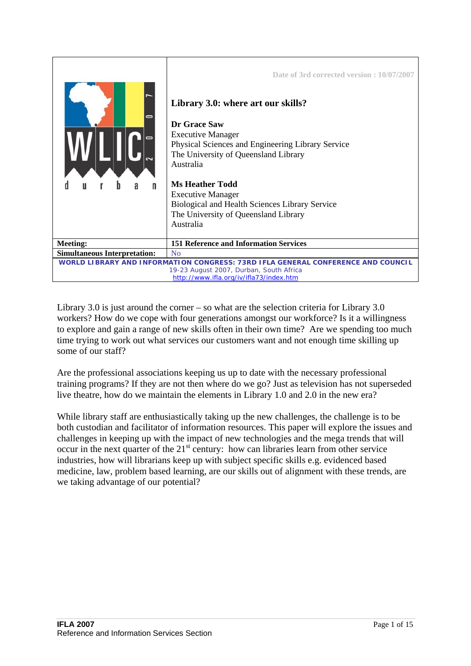

Library 3.0 is just around the corner – so what are the selection criteria for Library  $3.0$ workers? How do we cope with four generations amongst our workforce? Is it a willingness to explore and gain a range of new skills often in their own time? Are we spending too much time trying to work out what services our customers want and not enough time skilling up some of our staff?

Are the professional associations keeping us up to date with the necessary professional training programs? If they are not then where do we go? Just as television has not superseded live theatre, how do we maintain the elements in Library 1.0 and 2.0 in the new era?

While library staff are enthusiastically taking up the new challenges, the challenge is to be both custodian and facilitator of information resources. This paper will explore the issues and challenges in keeping up with the impact of new technologies and the mega trends that will occur in the next quarter of the  $21<sup>st</sup>$  century: how can libraries learn from other service industries, how will librarians keep up with subject specific skills e.g. evidenced based medicine, law, problem based learning, are our skills out of alignment with these trends, are we taking advantage of our potential?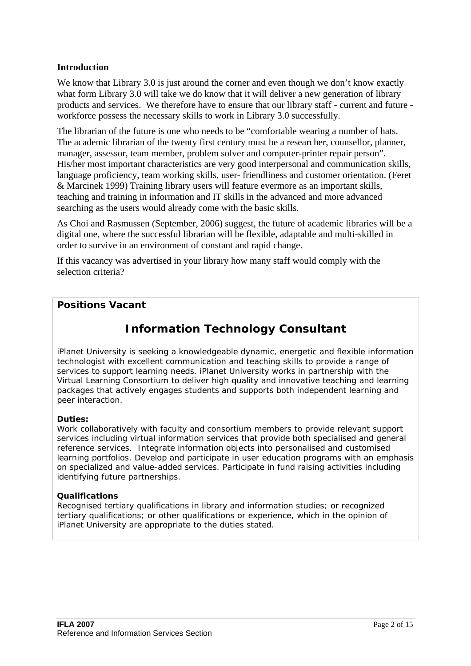### **Introduction**

We know that Library 3.0 is just around the corner and even though we don't know exactly what form Library 3.0 will take we do know that it will deliver a new generation of library products and services. We therefore have to ensure that our library staff - current and future workforce possess the necessary skills to work in Library 3.0 successfully.

The librarian of the future is one who needs to be "comfortable wearing a number of hats. The academic librarian of the twenty first century must be a researcher, counsellor, planner, manager, assessor, team member, problem solver and computer-printer repair person". His/her most important characteristics are very good interpersonal and communication skills, language proficiency, team working skills, user- friendliness and customer orientation. (Feret & Marcinek 1999) Training library users will feature evermore as an important skills, teaching and training in information and IT skills in the advanced and more advanced searching as the users would already come with the basic skills.

As Choi and Rasmussen (September, 2006) suggest, the future of academic libraries will be a digital one, where the successful librarian will be flexible, adaptable and multi-skilled in order to survive in an environment of constant and rapid change.

If this vacancy was advertised in your library how many staff would comply with the selection criteria?

## **Positions Vacant**

# **Information Technology Consultant**

*i*Planet University is seeking a knowledgeable dynamic, energetic and flexible information technologist with excellent communication and teaching skills to provide a range of services to support learning needs. *Planet University works in partnership with the* Virtual Learning Consortium to deliver high quality and innovative teaching and learning packages that actively engages students and supports both independent learning and peer interaction.

#### **Duties:**

Work collaboratively with faculty and consortium members to provide relevant support services including virtual information services that provide both specialised and general reference services. Integrate information objects into personalised and customised learning portfolios. Develop and participate in user education programs with an emphasis on specialized and value-added services. Participate in fund raising activities including identifying future partnerships.

#### **Qualifications**

Recognised tertiary qualifications in library and information studies; or recognized tertiary qualifications; or other qualifications or experience, which in the opinion of *i*Planet University are appropriate to the duties stated.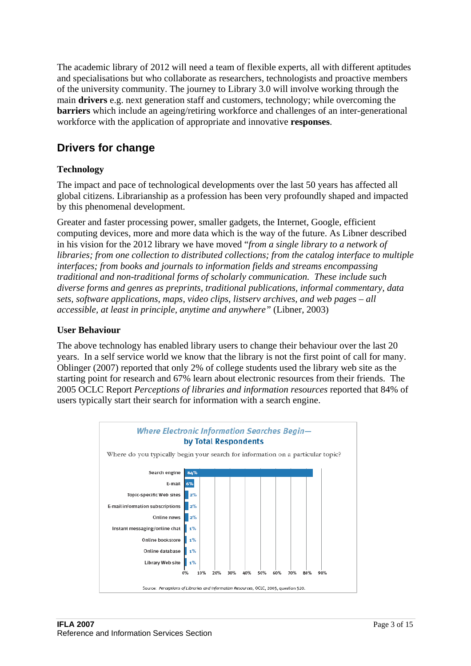The academic library of 2012 will need a team of flexible experts, all with different aptitudes and specialisations but who collaborate as researchers, technologists and proactive members of the university community. The journey to Library 3.0 will involve working through the main **drivers** e.g. next generation staff and customers, technology; while overcoming the **barriers** which include an ageing/retiring workforce and challenges of an inter-generational workforce with the application of appropriate and innovative **responses**.

# **Drivers for change**

## **Technology**

The impact and pace of technological developments over the last 50 years has affected all global citizens. Librarianship as a profession has been very profoundly shaped and impacted by this phenomenal development.

Greater and faster processing power, smaller gadgets, the Internet, Google, efficient computing devices, more and more data which is the way of the future. As Libner described in his vision for the 2012 library we have moved "*from a single library to a network of libraries; from one collection to distributed collections; from the catalog interface to multiple interfaces; from books and journals to information fields and streams encompassing traditional and non-traditional forms of scholarly communication. These include such diverse forms and genres as preprints, traditional publications, informal commentary, data sets, software applications, maps, video clips, listserv archives, and web pages – all accessible, at least in principle, anytime and anywhere"* (Libner, 2003)

### **User Behaviour**

The above technology has enabled library users to change their behaviour over the last 20 years. In a self service world we know that the library is not the first point of call for many. Oblinger (2007) reported that only 2% of college students used the library web site as the starting point for research and 67% learn about electronic resources from their friends. The 2005 OCLC Report *Perceptions of libraries and information resources* reported that 84% of users typically start their search for information with a search engine.

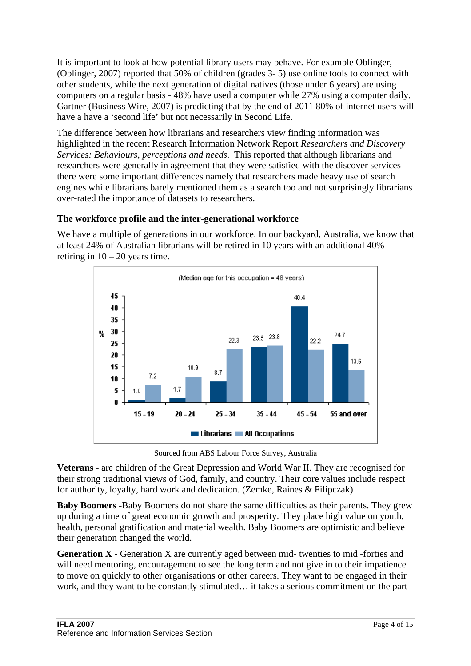It is important to look at how potential library users may behave. For example Oblinger, (Oblinger, 2007) reported that 50% of children (grades 3- 5) use online tools to connect with other students, while the next generation of digital natives (those under 6 years) are using computers on a regular basis - 48% have used a computer while 27% using a computer daily. Gartner (Business Wire, 2007) is predicting that by the end of 2011 80% of internet users will have a have a 'second life' but not necessarily in Second Life.

The difference between how librarians and researchers view finding information was highlighted in the recent Research Information Network Report *Researchers and Discovery Services: Behaviours, perceptions and needs*. This reported that although librarians and researchers were generally in agreement that they were satisfied with the discover services there were some important differences namely that researchers made heavy use of search engines while librarians barely mentioned them as a search too and not surprisingly librarians over-rated the importance of datasets to researchers.

## **The workforce profile and the inter-generational workforce**

We have a multiple of generations in our workforce. In our backyard, Australia, we know that at least 24% of Australian librarians will be retired in 10 years with an additional 40% retiring in  $10 - 20$  years time.



Sourced from ABS Labour Force Survey, Australia

**Veterans -** are children of the Great Depression and World War II. They are recognised for their strong traditional views of God, family, and country. Their core values include respect for authority, loyalty, hard work and dedication. (Zemke, Raines & Filipczak)

**Baby Boomers -**Baby Boomers do not share the same difficulties as their parents. They grew up during a time of great economic growth and prosperity. They place high value on youth, health, personal gratification and material wealth. Baby Boomers are optimistic and believe their generation changed the world.

**Generation X -** Generation X are currently aged between mid- twenties to mid -forties and will need mentoring, encouragement to see the long term and not give in to their impatience to move on quickly to other organisations or other careers. They want to be engaged in their work, and they want to be constantly stimulated… it takes a serious commitment on the part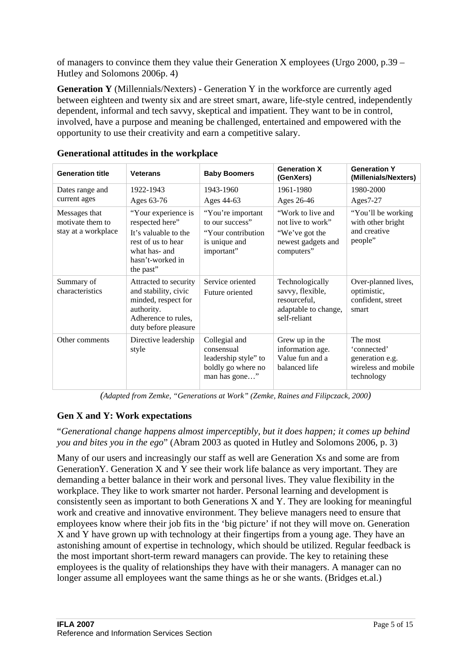of managers to convince them they value their Generation X employees (Urgo 2000, p.39 – Hutley and Solomons 2006p. 4)

**Generation Y** (Millennials/Nexters) - Generation Y in the workforce are currently aged between eighteen and twenty six and are street smart, aware, life-style centred, independently dependent, informal and tech savvy, skeptical and impatient. They want to be in control, involved, have a purpose and meaning be challenged, entertained and empowered with the opportunity to use their creativity and earn a competitive salary.

| <b>Generation title</b>                                  | <b>Veterans</b>                                                                                                                        | <b>Baby Boomers</b>                                                                        | <b>Generation X</b><br>(GenXers)                                                             | <b>Generation Y</b><br>(Millenials/Nexters)                                     |
|----------------------------------------------------------|----------------------------------------------------------------------------------------------------------------------------------------|--------------------------------------------------------------------------------------------|----------------------------------------------------------------------------------------------|---------------------------------------------------------------------------------|
| Dates range and<br>current ages                          | 1922-1943                                                                                                                              | 1943-1960                                                                                  | 1961-1980                                                                                    | 1980-2000                                                                       |
|                                                          | Ages 63-76                                                                                                                             | Ages 44-63                                                                                 | Ages 26-46                                                                                   | Ages $7-27$                                                                     |
| Messages that<br>motivate them to<br>stay at a workplace | "Your experience is<br>respected here"<br>It's valuable to the<br>rest of us to hear<br>what has- and<br>hasn't-worked in<br>the past" | "You're important<br>to our success"<br>"Your contribution"<br>is unique and<br>important" | "Work to live and<br>not live to work"<br>"We've got the<br>newest gadgets and<br>computers" | "You'll be working"<br>with other bright<br>and creative<br>people"             |
| Summary of<br>characteristics                            | Attracted to security<br>and stability, civic<br>minded, respect for<br>authority.<br>Adherence to rules,<br>duty before pleasure      | Service oriented<br>Future oriented                                                        | Technologically<br>savvy, flexible,<br>resourceful,<br>adaptable to change,<br>self-reliant  | Over-planned lives,<br>optimistic,<br>confident, street<br>smart                |
| Other comments                                           | Directive leadership<br>style                                                                                                          | Collegial and<br>consensual<br>leadership style" to<br>boldly go where no<br>man has gone" | Grew up in the<br>information age.<br>Value fun and a<br>balanced life                       | The most<br>'connected'<br>generation e.g.<br>wireless and mobile<br>technology |

### **Generational attitudes in the workplace**

*(Adapted from Zemke, "Generations at Work" (Zemke, Raines and Filipczack, 2000)* 

## **Gen X and Y: Work expectations**

"*Generational change happens almost imperceptibly, but it does happen; it comes up behind you and bites you in the ego*" (Abram 2003 as quoted in Hutley and Solomons 2006, p. 3)

Many of our users and increasingly our staff as well are Generation Xs and some are from GenerationY. Generation X and Y see their work life balance as very important. They are demanding a better balance in their work and personal lives. They value flexibility in the workplace. They like to work smarter not harder. Personal learning and development is consistently seen as important to both Generations X and Y. They are looking for meaningful work and creative and innovative environment. They believe managers need to ensure that employees know where their job fits in the 'big picture' if not they will move on. Generation X and Y have grown up with technology at their fingertips from a young age. They have an astonishing amount of expertise in technology, which should be utilized. Regular feedback is the most important short-term reward managers can provide. The key to retaining these employees is the quality of relationships they have with their managers. A manager can no longer assume all employees want the same things as he or she wants. (Bridges et.al.)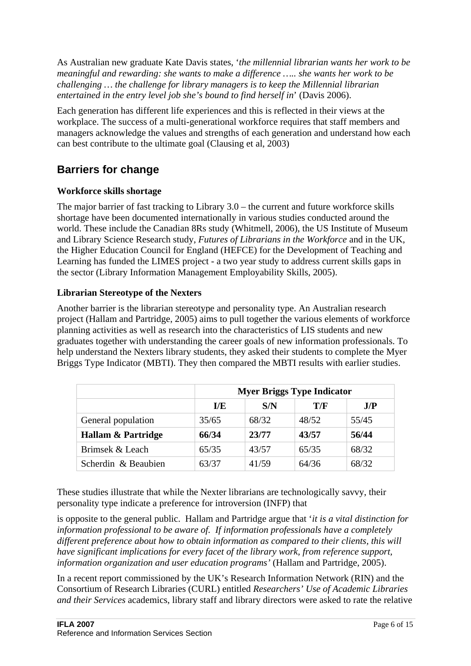As Australian new graduate Kate Davis states, '*the millennial librarian wants her work to be meaningful and rewarding: she wants to make a difference ….. she wants her work to be challenging … the challenge for library managers is to keep the Millennial librarian entertained in the entry level job she's bound to find herself in*' (Davis 2006).

Each generation has different life experiences and this is reflected in their views at the workplace. The success of a multi-generational workforce requires that staff members and managers acknowledge the values and strengths of each generation and understand how each can best contribute to the ultimate goal (Clausing et al, 2003)

# **Barriers for change**

## **Workforce skills shortage**

The major barrier of fast tracking to Library 3.0 – the current and future workforce skills shortage have been documented internationally in various studies conducted around the world. These include the Canadian 8Rs study (Whitmell, 2006), the US Institute of Museum and Library Science Research study, *Futures of Librarians in the Workforce* and in the UK, the Higher Education Council for England (HEFCE) for the Development of Teaching and Learning has funded the LIMES project - a two year study to address current skills gaps in the sector (Library Information Management Employability Skills, 2005).

## **Librarian Stereotype of the Nexters**

Another barrier is the librarian stereotype and personality type. An Australian research project (Hallam and Partridge, 2005) aims to pull together the various elements of workforce planning activities as well as research into the characteristics of LIS students and new graduates together with understanding the career goals of new information professionals. To help understand the Nexters library students, they asked their students to complete the Myer Briggs Type Indicator (MBTI). They then compared the MBTI results with earlier studies.

|                     | <b>Myer Briggs Type Indicator</b> |       |       |       |  |
|---------------------|-----------------------------------|-------|-------|-------|--|
|                     | $\bf{I/E}$                        | S/N   | T/F   | J/P   |  |
| General population  | 35/65                             | 68/32 | 48/52 | 55/45 |  |
| Hallam & Partridge  | 66/34                             | 23/77 | 43/57 | 56/44 |  |
| Brimsek & Leach     | 65/35                             | 43/57 | 65/35 | 68/32 |  |
| Scherdin & Beaubien | 63/37                             | 41/59 | 64/36 | 68/32 |  |

These studies illustrate that while the Nexter librarians are technologically savvy, their personality type indicate a preference for introversion (INFP) that

is opposite to the general public. Hallam and Partridge argue that '*it is a vital distinction for information professional to be aware of. If information professionals have a completely different preference about how to obtain information as compared to their clients, this will have significant implications for every facet of the library work, from reference support, information organization and user education programs'* (Hallam and Partridge, 2005).

In a recent report commissioned by the UK's Research Information Network (RIN) and the Consortium of Research Libraries (CURL) entitled *Researchers' Use of Academic Libraries and their Services* academics, library staff and library directors were asked to rate the relative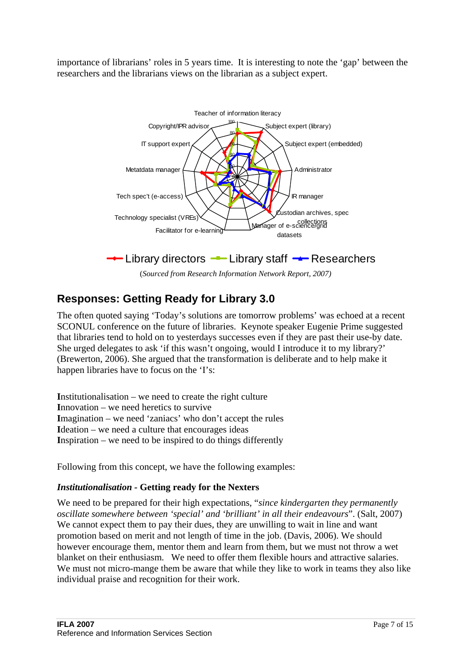importance of librarians' roles in 5 years time. It is interesting to note the 'gap' between the researchers and the librarians views on the librarian as a subject expert.



(*Sourced from Research Information Network Report, 2007)*

# **Responses: Getting Ready for Library 3.0**

The often quoted saying 'Today's solutions are tomorrow problems' was echoed at a recent SCONUL conference on the future of libraries. Keynote speaker Eugenie Prime suggested that libraries tend to hold on to yesterdays successes even if they are past their use-by date. She urged delegates to ask 'if this wasn't ongoing, would I introduce it to my library?' (Brewerton, 2006). She argued that the transformation is deliberate and to help make it happen libraries have to focus on the 'I's:

**I**nstitutionalisation – we need to create the right culture **I**nnovation – we need heretics to survive **I**magination – we need 'zaniacs' who don't accept the rules **I**deation – we need a culture that encourages ideas **I**nspiration – we need to be inspired to do things differently

Following from this concept, we have the following examples:

## *Institutionalisation -* **Getting ready for the Nexters**

We need to be prepared for their high expectations, "*since kindergarten they permanently oscillate somewhere between 'special' and 'brilliant' in all their endeavours*". (Salt, 2007) We cannot expect them to pay their dues, they are unwilling to wait in line and want promotion based on merit and not length of time in the job. (Davis, 2006). We should however encourage them, mentor them and learn from them, but we must not throw a wet blanket on their enthusiasm. We need to offer them flexible hours and attractive salaries. We must not micro-mange them be aware that while they like to work in teams they also like individual praise and recognition for their work.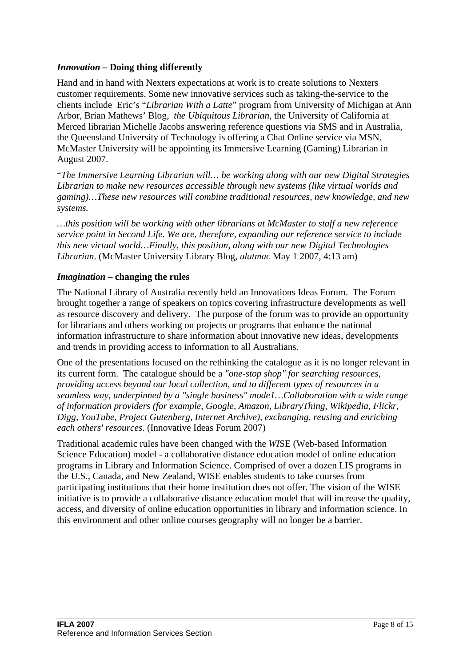### *Innovation –* **Doing thing differently**

Hand and in hand with Nexters expectations at work is to create solutions to Nexters customer requirements. Some new innovative services such as taking-the-service to the clients include Eric's "*Librarian With a Latte*" program from University of Michigan at Ann Arbor, Brian Mathews' Blog*, the Ubiquitous Librarian*, the University of California at Merced librarian Michelle Jacobs answering reference questions via SMS and in Australia, the Queensland University of Technology is offering a Chat Online service via MSN. McMaster University will be appointing its Immersive Learning (Gaming) Librarian in August 2007.

"*The Immersive Learning Librarian will… be working along with our new Digital Strategies Librarian to make new resources accessible through new systems (like virtual worlds and gaming)…These new resources will combine traditional resources, new knowledge, and new systems.* 

*…this position will be working with other librarians at McMaster to staff a new reference service point in Second Life. We are, therefore, expanding our reference service to include this new virtual world…Finally, this position, along with our new Digital Technologies Librarian*. (McMaster University Library Blog, *[ulatmac](http://ulatmac.wordpress.com/)* [May 1 2007, 4:13 am\)](http://ulatmac.wordpress.com/2007/04/26/immersive-learning-gaming-librarian-appointed/#comment-2447)

## *Imagination* **– changing the rules**

The National Library of Australia recently held an Innovations Ideas Forum. The Forum brought together a range of speakers on topics covering infrastructure developments as well as resource discovery and delivery. The purpose of the forum was to provide an opportunity for librarians and others working on projects or programs that enhance the national information infrastructure to share information about innovative new ideas, developments and trends in providing access to information to all Australians.

One of the presentations focused on the rethinking the catalogue as it is no longer relevant in its current form. The catalogue should be a *"one-stop shop" for searching resources, providing access beyond our local collection, and to different types of resources in a seamless way, underpinned by a "single business" mode1…Collaboration with a wide range of information providers (for example, Google, Amazon, LibraryThing, Wikipedia, Flickr, Digg, YouTube, Project Gutenberg, Internet Archive), exchanging, reusing and enriching each others' resources.* (Innovative Ideas Forum 2007)

Traditional academic rules have been changed with the *WI*SE (Web-based Information Science Education) model - a collaborative distance education model of online education programs in Library and Information Science. Comprised of over a dozen LIS programs in the U.S., Canada, and New Zealand, WISE enables students to take courses from participating institutions that their home institution does not offer. The vision of the WISE initiative is to provide a collaborative distance education model that will increase the quality, access, and diversity of online education opportunities in library and information science. In this environment and other online courses geography will no longer be a barrier.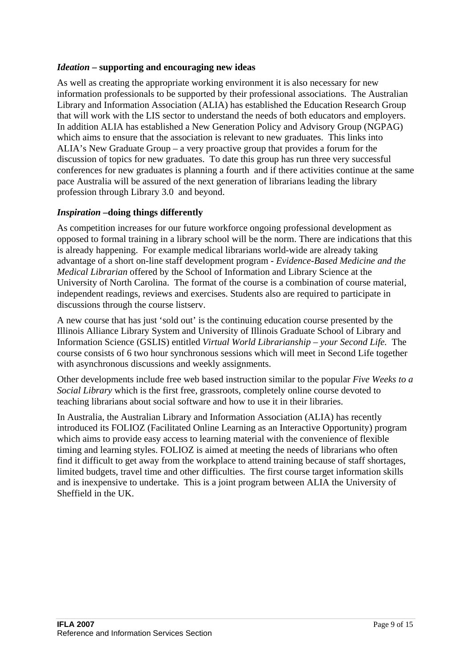## *Ideation* **– supporting and encouraging new ideas**

As well as creating the appropriate working environment it is also necessary for new information professionals to be supported by their professional associations. The Australian Library and Information Association (ALIA) has established the Education Research Group that will work with the LIS sector to understand the needs of both educators and employers. In addition ALIA has established a New Generation Policy and Advisory Group (NGPAG) which aims to ensure that the association is relevant to new graduates. This links into ALIA's New Graduate Group – a very proactive group that provides a forum for the discussion of topics for new graduates. To date this group has run three very successful conferences for new graduates is planning a fourth and if there activities continue at the same pace Australia will be assured of the next generation of librarians leading the library profession through Library 3.0 and beyond.

## *Inspiration –***doing things differently**

As competition increases for our future workforce ongoing professional development as opposed to formal training in a library school will be the norm. There are indications that this is already happening. For example medical librarians world-wide are already taking advantage of a short on-line staff development program - *Evidence-Based Medicine and the Medical Librarian* offered by the School of Information and Library Science at the University of North Carolina. The format of the course is a combination of course material, independent readings, reviews and exercises. Students also are required to participate in discussions through the course listserv.

A new course that has just 'sold out' is the continuing education course presented by the Illinois Alliance Library System and University of Illinois Graduate School of Library and Information Science (GSLIS) entitled *Virtual World Librarianship – your Second Life.* The course consists of 6 two hour synchronous sessions which will meet in Second Life together with asynchronous discussions and weekly assignments.

Other developments include free web based instruction similar to the popular *Five Weeks to a Social Library* which is the first free, grassroots, completely online course devoted to teaching librarians about social software and how to use it in their libraries.

In Australia, the Australian Library and Information Association (ALIA) has recently introduced its FOLIOZ (Facilitated Online Learning as an Interactive Opportunity) program which aims to provide easy access to learning material with the convenience of flexible timing and learning styles. FOLIOZ is aimed at meeting the needs of librarians who often find it difficult to get away from the workplace to attend training because of staff shortages, limited budgets, travel time and other difficulties. The first course target information skills and is inexpensive to undertake. This is a joint program between ALIA the University of Sheffield in the UK.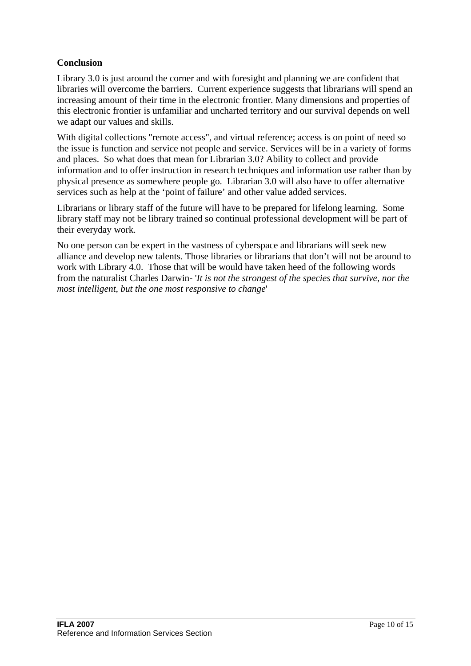## **Conclusion**

Library 3.0 is just around the corner and with foresight and planning we are confident that libraries will overcome the barriers. Current experience suggests that librarians will spend an increasing amount of their time in the electronic frontier. Many dimensions and properties of this electronic frontier is unfamiliar and uncharted territory and our survival depends on well we adapt our values and skills.

With digital collections "remote access", and virtual reference; access is on point of need so the issue is function and service not people and service. Services will be in a variety of forms and places. So what does that mean for Librarian 3.0? Ability to collect and provide information and to offer instruction in research techniques and information use rather than by physical presence as somewhere people go. Librarian 3.0 will also have to offer alternative services such as help at the 'point of failure' and other value added services.

Librarians or library staff of the future will have to be prepared for lifelong learning. Some library staff may not be library trained so continual professional development will be part of their everyday work.

No one person can be expert in the vastness of cyberspace and librarians will seek new alliance and develop new talents. Those libraries or librarians that don't will not be around to work with Library 4.0. Those that will be would have taken heed of the following words from the naturalist Charles Darwin- '*It is not the strongest of the species that survive, nor the most intelligent, but the one most responsive to change*'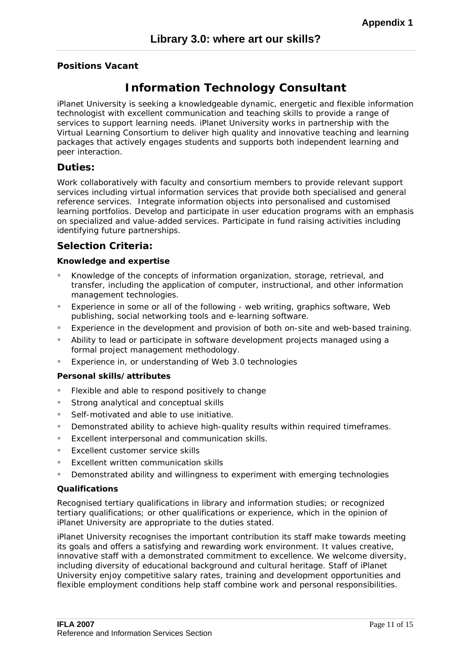#### **Positions Vacant**

# **Information Technology Consultant**

*i*Planet University is seeking a knowledgeable dynamic, energetic and flexible information technologist with excellent communication and teaching skills to provide a range of services to support learning needs. *Planet University works in partnership with the* Virtual Learning Consortium to deliver high quality and innovative teaching and learning packages that actively engages students and supports both independent learning and peer interaction.

#### **Duties:**

Work collaboratively with faculty and consortium members to provide relevant support services including virtual information services that provide both specialised and general reference services. Integrate information objects into personalised and customised learning portfolios. Develop and participate in user education programs with an emphasis on specialized and value-added services. Participate in fund raising activities including identifying future partnerships.

## **Selection Criteria:**

#### **Knowledge and expertise**

- Knowledge of the concepts of information organization, storage, retrieval, and transfer, including the application of computer, instructional, and other information management technologies.
- Experience in some or all of the following web writing, graphics software, Web publishing, social networking tools and e-learning software.
- Experience in the development and provision of both on-site and web-based training.
- Ability to lead or participate in software development projects managed using a formal project management methodology.
- Experience in, or understanding of Web 3.0 technologies

#### **Personal skills/attributes**

- Flexible and able to respond positively to change
- Strong analytical and conceptual skills
- Self-motivated and able to use initiative.
- Demonstrated ability to achieve high-quality results within required timeframes.
- **Excellent interpersonal and communication skills.**
- **Excellent customer service skills**
- Excellent written communication skills
- Demonstrated ability and willingness to experiment with emerging technologies

#### **Qualifications**

Recognised tertiary qualifications in library and information studies; or recognized tertiary qualifications; or other qualifications or experience, which in the opinion of *i*Planet University are appropriate to the duties stated.

*i*Planet University recognises the important contribution its staff make towards meeting its goals and offers a satisfying and rewarding work environment. It values creative, innovative staff with a demonstrated commitment to excellence. We welcome diversity, including diversity of educational background and cultural heritage. Staff of iPlanet University enjoy competitive salary rates, training and development opportunities and flexible employment conditions help staff combine work and personal responsibilities.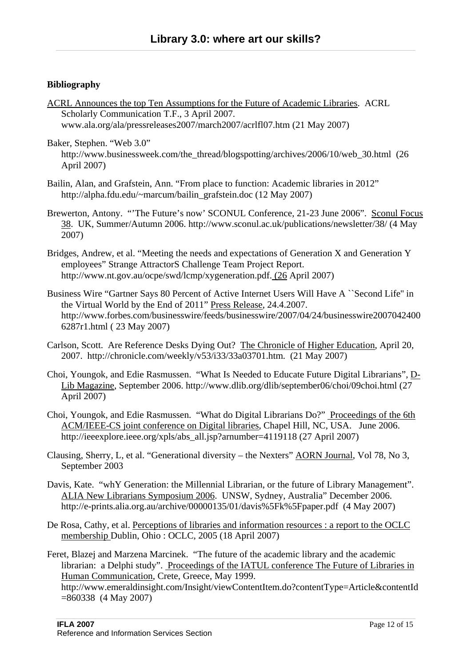### **Bibliography**

ACRL Announces the top Ten Assumptions for the Future of Academic Libraries. ACRL Scholarly Communication T.F., 3 April 2007. [www.ala.org/ala/pressreleases2007/march2007/acrlfl07.htm \(21](http://www.ala.org/ala/pressreleases2007/march2007/acrlfl07.htm%20(21) May 2007)

Baker, Stephen. "Web 3.0" [http://www.businessweek.com/the\\_thread/blogspotting/archives/2006/10/web\\_30.html \(26](http://www.businessweek.com/the_thread/blogspotting/archives/2006/10/web_30.html%20%20(26)) April 2007)

- Bailin, Alan, and Grafstein, Ann. "From place to function: Academic libraries in 2012" http://alpha.fdu.edu/~marcum/bailin\_grafstein.doc (12 May 2007)
- Brewerton, Antony. "'The Future's now' SCONUL Conference, 21-23 June 2006". Sconul Focus 38. UK, Summer/Autumn 2006.<http://www.sconul.ac.uk/publications/newsletter/38/> (4 May 2007)
- Bridges, Andrew, et al. "Meeting the needs and expectations of Generation X and Generation Y employees" Strange AttractorS Challenge Team Project Report. [http://www.nt.gov.au/ocpe/swd/lcmp/xygeneration.pdf. \(26](http://www.nt.gov.au/ocpe/swd/lcmp/xygeneration.pdf.%20(26) April 2007)
- Business Wire "Gartner Says 80 Percent of Active Internet Users Will Have A ``Second Life'' in the Virtual World by the End of 2011" Press Release, 24.4.2007. [http://www.forbes.com/businesswire/feeds/businesswire/2007/04/24/businesswire2007042400](http://www.forbes.com/businesswire/feeds/businesswire/2007/04/24/businesswire20070424006287r1.html) [6287r1.html](http://www.forbes.com/businesswire/feeds/businesswire/2007/04/24/businesswire20070424006287r1.html) ( 23 May 2007)
- Carlson, Scott. Are Reference Desks Dying Out? The Chronicle of Higher Education, April 20, 2007. [http://chronicle.com/weekly/v53/i33/33a03701.htm.](http://chronicle.com/weekly/v53/i33/33a03701.htm) (21 May 2007)
- Choi, Youngok, and Edie Rasmussen. "What Is Needed to Educate Future Digital Librarians", D-Lib Magazine, September 2006. http://www.dlib.org/dlib/september06/choi/09choi.html (27 April 2007)
- Choi, Youngok, and Edie Rasmussen. "What do Digital Librarians Do?" Proceedings of the 6th ACM/IEEE-CS joint conference on Digital libraries, Chapel Hill, NC, USA. June 2006. [http://ieeexplore.ieee.org/xpls/abs\\_all.jsp?arnumber=4119118](http://ieeexplore.ieee.org/xpls/abs_all.jsp?arnumber=4119118) (27 April 2007)
- Clausing, Sherry, L, et al. "Generational diversity the Nexters" AORN Journal, Vol 78, No 3, September 2003
- Davis, Kate. "whY Generation: the Millennial Librarian, or the future of Library Management". ALIA New Librarians Symposium 2006. UNSW, Sydney, Australia" December 2006. <http://e-prints.alia.org.au/archive/00000135/01/davis%5Fk%5Fpaper.pdf> (4 May 2007)
- De Rosa, Cathy, et al. Perceptions of libraries and information resources : a report to the OCLC membership Dublin, Ohio : OCLC, 2005 (18 April 2007)
- Feret, Blazej and Marzena Marcinek. "The future of the academic library and the academic librarian: a Delphi study". Proceedings of the IATUL conference The Future of Libraries in Human Communication, Crete, Greece, May 1999. [http://www.emeraldinsight.com/Insight/viewContentItem.do?contentType=Article&contentId](http://www.emeraldinsight.com/Insight/viewContentItem.do?contentType=Article&contentId=860338) [=860338](http://www.emeraldinsight.com/Insight/viewContentItem.do?contentType=Article&contentId=860338) (4 May 2007)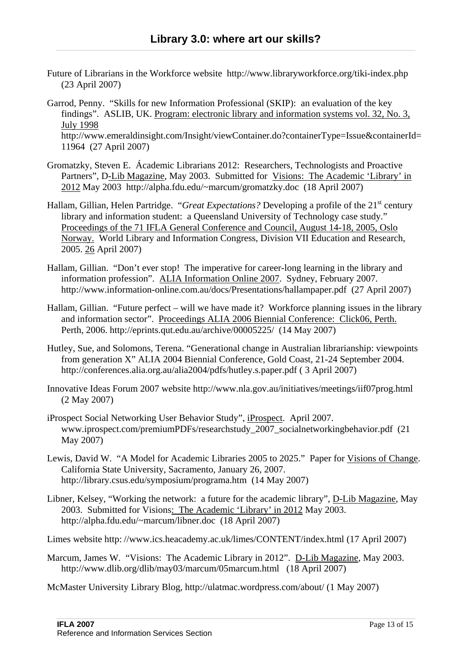- Future of Librarians in the Workforce website [http://www.libraryworkforce.org/tiki-index.php](http://www.libraryworkforce.org/tiki-index.php%20(23)  [\(23](http://www.libraryworkforce.org/tiki-index.php%20(23) April 2007)
- Garrod, Penny. "Skills for new Information Professional (SKIP): an evaluation of the key findings". ASLIB, UK. Program: electronic library and information systems vol. 32, No. 3, July 1998 [http://www.emeraldinsight.com/Insight/viewContainer.do?containerType=Issue&containerId=](http://www.emeraldinsight.com/Insight/viewContainer.do?containerType=Issue&containerId=11964) [11964](http://www.emeraldinsight.com/Insight/viewContainer.do?containerType=Issue&containerId=11964) (27 April 2007)
- Gromatzky, Steven E. Ácademic Librarians 2012: Researchers, Technologists and Proactive Partners", D-Lib Magazine, May 2003. Submitted for Visions: The Academic 'Library' in 2012 May 2003 [http://alpha.fdu.edu/~marcum/gromatzky.doc](http://alpha.fdu.edu/%7Emarcum/gromatzky.doc) (18 April 2007)
- Hallam, Gillian, Helen Partridge. "*Great Expectations*? Developing a profile of the 21<sup>st</sup> century library and information student: a Queensland University of Technology case study." Proceedings of the 71 IFLA General Conference and Council, August 14-18, 2005, Oslo Norway. World Library and Information Congress, Division VII Education and Research, 2005. [26](http://www.ifla.org/IV/ifla71/papers/047e-Hallam_Partridge.pdf%20%20(5) April 2007)
- Hallam, Gillian. "Don't ever stop! The imperative for career-long learning in the library and information profession". ALIA Information Online 2007. Sydney, February 2007. <http://www.information-online.com.au/docs/Presentations/hallampaper.pdf>(27 April 2007)
- Hallam, Gillian. "Future perfect will we have made it? Workforce planning issues in the library and information sector". Proceedings ALIA 2006 Biennial Conference: Click06, Perth. Perth, 2006. <http://eprints.qut.edu.au/archive/00005225/> (14 May 2007)
- Hutley, Sue, and Solomons, Terena. "Generational change in Australian librarianship: viewpoints from generation X" ALIA 2004 Biennial Conference, Gold Coast, 21-24 September 2004. http://conferences.alia.org.au/alia2004/pdfs/hutley.s.paper.pdf ( 3 April 2007)
- Innovative Ideas Forum 2007 website http://www.nla.gov.au/initiatives/meetings/iif07prog.html (2 May 2007)
- iProspect Social Networking User Behavior Study", iProspect. April 2007. [www.iprospect.com/premiumPDFs/researchstudy\\_2007\\_socialnetworkingbehavior.pdf](http://www.iprospect.com/premiumPDFs/researchstudy_2007_socialnetworkingbehavior.pdf) (21 May 2007)
- Lewis, David W. "A Model for Academic Libraries 2005 to 2025." Paper for Visions of Change. California State University, Sacramento, January 26, 2007. <http://library.csus.edu/symposium/programa.htm>(14 May 2007)
- Libner, Kelsey, "Working the network: a future for the academic library", D-Lib Magazine, May 2003. Submitted for Visions: The Academic 'Library' in 2012 May 2003. [http://alpha.fdu.edu/~marcum/libner.doc](http://alpha.fdu.edu/%7Emarcum/libner.doc) (18 April 2007)

Limes website http: //www.ics.heacademy.ac.uk/limes/CONTENT/index.html (17 April 2007)

- Marcum, James W. "Visions: The Academic Library in 2012". D-Lib Magazine, May 2003. http://www.dlib.org/dlib/may03/marcum/05marcum.html (18 April 2007)
- McMaster University Library Blog, <http://ulatmac.wordpress.com/about/>(1 May 2007)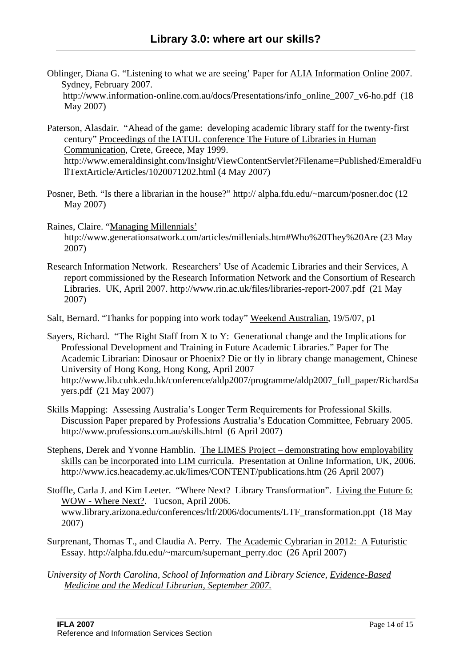- Oblinger, Diana G. "Listening to what we are seeing' Paper for ALIA Information Online 2007. Sydney, February 2007. [http://www.information-online.com.au/docs/Presentations/info\\_online\\_2007\\_v6-ho.pdf](http://www.information-online.com.au/docs/Presentations/info_online_2007_v6-ho.pdf) (18 May 2007)
- Paterson, Alasdair. "Ahead of the game: developing academic library staff for the twenty-first century" Proceedings of the IATUL conference The Future of Libraries in Human Communication, Crete, Greece, May 1999. [http://www.emeraldinsight.com/Insight/ViewContentServlet?Filename=Published/EmeraldFu](http://www.emeraldinsight.com/Insight/ViewContentServlet?Filename=Published/EmeraldFullTextArticle/Articles/1020071202.html) [llTextArticle/Articles/1020071202.html](http://www.emeraldinsight.com/Insight/ViewContentServlet?Filename=Published/EmeraldFullTextArticle/Articles/1020071202.html) (4 May 2007)
- Posner, Beth. "Is there a librarian in the house?" http:// alpha.fdu.edu/~marcum/posner.doc (12 May 2007)
- Raines, Claire. "Managing Millennials' <http://www.generationsatwork.com/articles/millenials.htm#Who%20They%20Are> (23 May 2007)
- Research Information Network. Researchers' Use of Academic Libraries and their Services, A report commissioned by the Research Information Network and the Consortium of Research Libraries. UK, April 2007. <http://www.rin.ac.uk/files/libraries-report-2007.pdf>(21 May 2007)
- Salt, Bernard. "Thanks for popping into work today" Weekend Australian, 19/5/07, p1

Sayers, Richard. "The Right Staff from X to Y: Generational change and the Implications for Professional Development and Training in Future Academic Libraries." Paper for The Academic Librarian: Dinosaur or Phoenix? Die or fly in library change management, Chinese University of Hong Kong, Hong Kong, April 2007 [http://www.lib.cuhk.edu.hk/conference/aldp2007/programme/aldp2007\\_full\\_paper/RichardSa](http://www.lib.cuhk.edu.hk/conference/aldp2007/programme/aldp2007_full_paper/RichardSayers.pdf) [yers.pdf](http://www.lib.cuhk.edu.hk/conference/aldp2007/programme/aldp2007_full_paper/RichardSayers.pdf) (21 May 2007)

- Skills Mapping: Assessing Australia's Longer Term Requirements for Professional Skills. Discussion Paper prepared by Professions Australia's Education Committee, February 2005. <http://www.professions.com.au/skills.html> (6 April 2007)
- Stephens, Derek and Yvonne Hamblin. The LIMES Project demonstrating how employability skills can be incorporated into LIM curricula. Presentation at Online Information, UK, 2006. <http://www.ics.heacademy.ac.uk/limes/CONTENT/publications.htm> (26 April 2007)
- Stoffle, Carla J. and Kim Leeter. "Where Next? Library Transformation". Living the Future 6: WOW - Where Next?. Tucson, April 2006. [www.library.arizona.edu/conferences/ltf/2006/documents/LTF\\_transformation.ppt](http://www.library.arizona.edu/conferences/ltf/2006/documents/LTF_transformation.ppt) (18 May 2007)
- Surprenant, Thomas T., and Claudia A. Perry. The Academic Cybrarian in 2012: A Futuristic Essay. http://alpha.fdu.edu/~marcum/supernant\_perry.doc (26 April 2007)
- *University of North Carolina, School of Information and Library Science, Evidence-Based Medicine and the Medical Librarian, September 2007.*